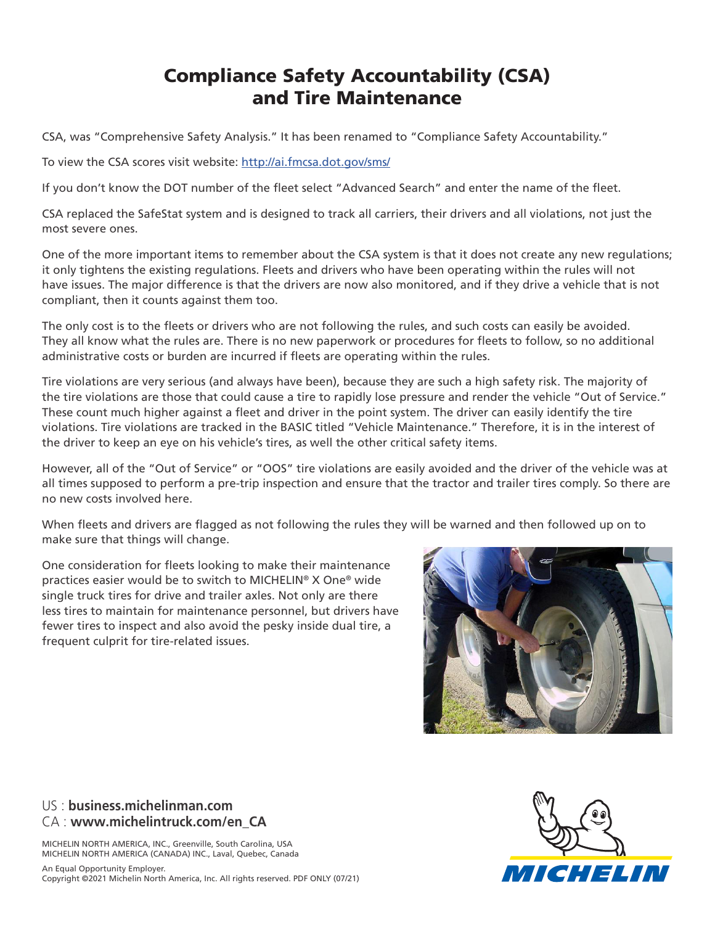## Compliance Safety Accountability (CSA) and Tire Maintenance

CSA, was "Comprehensive Safety Analysis." It has been renamed to "Compliance Safety Accountability."

To view the CSA scores visit website: http://ai.fmcsa.dot.gov/sms/

If you don't know the DOT number of the fleet select "Advanced Search" and enter the name of the fleet.

CSA replaced the SafeStat system and is designed to track all carriers, their drivers and all violations, not just the most severe ones.

One of the more important items to remember about the CSA system is that it does not create any new regulations; it only tightens the existing regulations. Fleets and drivers who have been operating within the rules will not have issues. The major difference is that the drivers are now also monitored, and if they drive a vehicle that is not compliant, then it counts against them too.

The only cost is to the fleets or drivers who are not following the rules, and such costs can easily be avoided. They all know what the rules are. There is no new paperwork or procedures for fleets to follow, so no additional administrative costs or burden are incurred if fleets are operating within the rules.

Tire violations are very serious (and always have been), because they are such a high safety risk. The majority of the tire violations are those that could cause a tire to rapidly lose pressure and render the vehicle "Out of Service." These count much higher against a fleet and driver in the point system. The driver can easily identify the tire violations. Tire violations are tracked in the BASIC titled "Vehicle Maintenance." Therefore, it is in the interest of the driver to keep an eye on his vehicle's tires, as well the other critical safety items.

However, all of the "Out of Service" or "OOS" tire violations are easily avoided and the driver of the vehicle was at all times supposed to perform a pre-trip inspection and ensure that the tractor and trailer tires comply. So there are no new costs involved here.

When fleets and drivers are flagged as not following the rules they will be warned and then followed up on to make sure that things will change.

One consideration for fleets looking to make their maintenance practices easier would be to switch to MICHELIN® X One® wide single truck tires for drive and trailer axles. Not only are there less tires to maintain for maintenance personnel, but drivers have fewer tires to inspect and also avoid the pesky inside dual tire, a frequent culprit for tire-related issues.



## US : **business.michelinman.com** CA : **www.michelintruck.com/en\_CA**

MICHELIN NORTH AMERICA, INC., Greenville, South Carolina, USA MICHELIN NORTH AMERICA (CANADA) INC., Laval, Quebec, Canada

An Equal Opportunity Employer. Copyright ©2021 Michelin North America, Inc. All rights reserved. PDF ONLY (07/21)